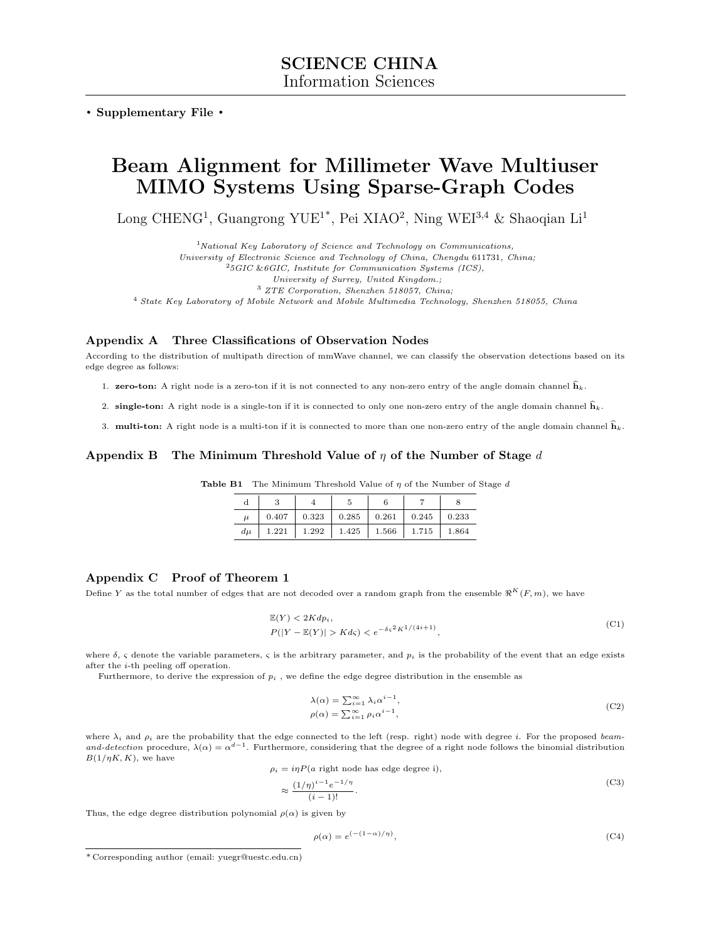. Supplementary File .

# Beam Alignment for Millimeter Wave Multiuser MIMO Systems Using Sparse-Graph Codes

Long CHENG<sup>1</sup>, Guangrong YUE<sup>1\*</sup>, Pei XIAO<sup>2</sup>, Ning WEI<sup>3,4</sup> & Shaoqian Li<sup>1</sup>

 $1$ National Key Laboratory of Science and Technology on Communications,

University of Electronic Science and Technology of China, Chengdu 611731, China;

 ${}^{2}5GIC$  &6GIC, Institute for Communication Systems (ICS),

University of Surrey, United Kingdom.;

<sup>3</sup> ZTE Corporation, Shenzhen 518057, China;

<sup>4</sup> State Key Laboratory of Mobile Network and Mobile Multimedia Technology, Shenzhen 518055, China

## Appendix A Three Classifications of Observation Nodes

According to the distribution of multipath direction of mmWave channel, we can classify the observation detections based on its edge degree as follows:

- 1. **zero-ton:** A right node is a zero-ton if it is not connected to any non-zero entry of the angle domain channel  $\hat{h}_k$ .
- 2. single-ton: A right node is a single-ton if it is connected to only one non-zero entry of the angle domain channel  $\hat{h}_k$ .

3. **multi-ton:** A right node is a multi-ton if it is connected to more than one non-zero entry of the angle domain channel  $\hat{h}_k$ .

## Appendix B The Minimum Threshold Value of  $\eta$  of the Number of Stage d

|  | <b>Table B1</b> The Minimum Threshold Value of $\eta$ of the Number of Stage d |  |  |  |  |  |  |  |  |
|--|--------------------------------------------------------------------------------|--|--|--|--|--|--|--|--|
|--|--------------------------------------------------------------------------------|--|--|--|--|--|--|--|--|

| $\mu$ |  |                                                        |  |  |
|-------|--|--------------------------------------------------------|--|--|
|       |  | $d\mu$   1.221   1.292   1.425   1.566   1.715   1.864 |  |  |

## Appendix C Proof of Theorem 1

Define Y as the total number of edges that are not decoded over a random graph from the ensemble  $\Re^K(F, m)$ , we have

<span id="page-0-0"></span>
$$
\mathbb{E}(Y) < 2Kdp_i,
$$
\n
$$
P(|Y - \mathbb{E}(Y)| > Kd\varsigma) < e^{-\delta\varsigma^2 K^{1/(4i+1)}},
$$
\n
$$
(C1)
$$

where  $\delta$ ,  $\varsigma$  denote the variable parameters,  $\varsigma$  is the arbitrary parameter, and  $p_i$  is the probability of the event that an edge exists after the i-th peeling off operation.

Furthermore, to derive the expression of  $p_i$ , we define the edge degree distribution in the ensemble as

$$
\lambda(\alpha) = \sum_{i=1}^{\infty} \lambda_i \alpha^{i-1},
$$
  
\n
$$
\rho(\alpha) = \sum_{i=1}^{\infty} \rho_i \alpha^{i-1},
$$
\n(C2)

where  $\lambda_i$  and  $\rho_i$  are the probability that the edge connected to the left (resp. right) node with degree i. For the proposed beamand-detection procedure,  $\lambda(\alpha) = \alpha^{d-1}$ . Furthermore, considering that the degree of a right node follows the binomial distribution  $B(1/\eta K, K)$ , we have

$$
\rho_i = i\eta P(a \text{ right node has edge degree } i),\tag{S2}
$$

$$
\approx \frac{(1/\eta)^{i-1} e^{-1/\eta}}{(i-1)!}.
$$
\n(C3)

Thus, the edge degree distribution polynomial  $\rho(\alpha)$  is given by

$$
\rho(\alpha) = e^{(- (1 - \alpha)/\eta)},\tag{C4}
$$

<sup>\*</sup> Corresponding author (email: yuegr@uestc.edu.cn)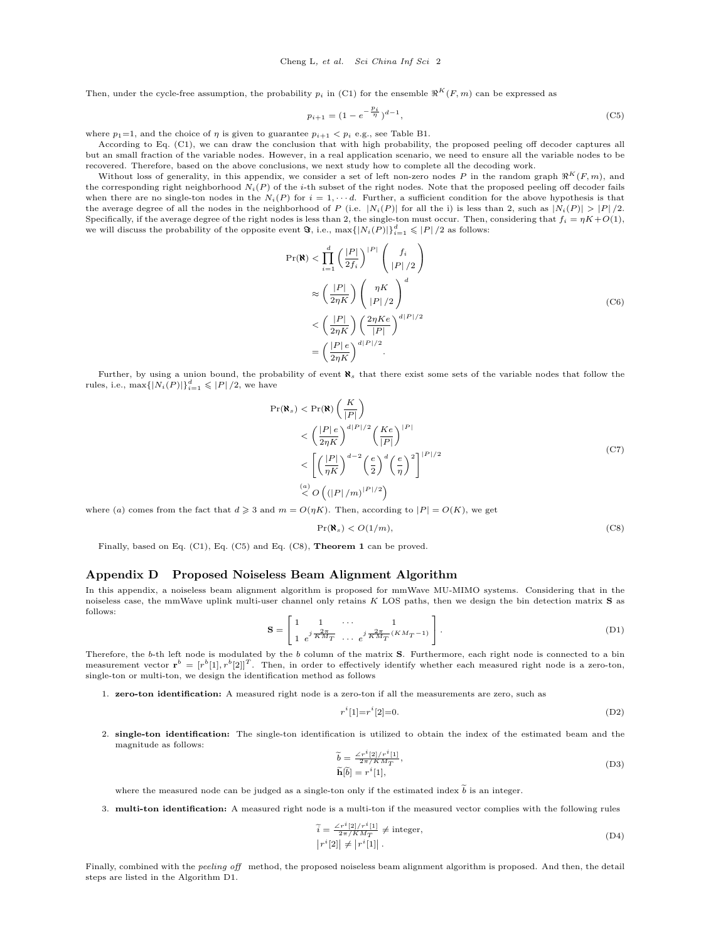Then, under the cycle-free assumption, the probability  $p_i$  in [\(C1\)](#page-0-0) for the ensemble  $\Re^K(F, m)$  can be expressed as

<span id="page-1-0"></span>
$$
p_{i+1} = (1 - e^{-\frac{p_i}{\eta}})^{d-1},\tag{C5}
$$

where  $p_1=1$ , and the choice of  $\eta$  is given to guarantee  $p_{i+1} < p_i$  e.g., see Table B1.

According to Eq. [\(C1\)](#page-0-0), we can draw the conclusion that with high probability, the proposed peeling off decoder captures all but an small fraction of the variable nodes. However, in a real application scenario, we need to ensure all the variable nodes to be recovered. Therefore, based on the above conclusions, we next study how to complete all the decoding work.

Without loss of generality, in this appendix, we consider a set of left non-zero nodes P in the random graph  $\Re^K(F, m)$ , and the corresponding right neighborhood  $N_i(P)$  of the *i*-th subset of the right nodes. Note that the proposed peeling off decoder fails when there are no single-ton nodes in the  $N_i(P)$  for  $i = 1, \dots, d$ . Further, a sufficient condition for the above hypothesis is that the average degree of all the nodes in the neighborhood of P (i.e.  $|N_i(P)|$  for all the i) is less than 2, such as  $|N_i(P)| > |P|/2$ . Specifically, if the average degree of the right nodes is less than 2, the single-ton must occur. Then, considering that  $f_i = \eta K + O(1)$ , we will discuss the probability of the opposite event  $\mathbf{\Im},$  i.e.,  $\max\{|N_i(P)|\}_{i=1}^d \leqslant |P|/2$  as follows:

$$
\Pr(\mathbf{R}) < \prod_{i=1}^{d} \left(\frac{|P|}{2f_i}\right)^{|P|} \binom{f_i}{|P|/2}
$$
\n
$$
\approx \left(\frac{|P|}{2\eta K}\right) \binom{\eta K}{|P|/2}^d
$$
\n
$$
< \left(\frac{|P|}{2\eta K}\right) \left(\frac{2\eta K e}{|P|}\right)^{d|P|/2}
$$
\n
$$
= \left(\frac{|P|e}{2\eta K}\right)^{d|P|/2}.
$$
\n(C6)

Further, by using a union bound, the probability of event  $\aleph_s$  that there exist some sets of the variable nodes that follow the rules, i.e.,  $\max\{|N_i(P)|\}_{i=1}^d \leqslant |P|/2$ , we have

$$
\Pr(\mathbf{R}_s) < \Pr(\mathbf{R}) \left(\frac{K}{|P|}\right) \\
&< \left(\frac{|P|e}{2\eta K}\right)^{d|P|/2} \left(\frac{Ke}{|P|}\right)^{|P|} \\
&< \left[\left(\frac{|P|}{\eta K}\right)^{d-2} \left(\frac{e}{2}\right)^d \left(\frac{e}{\eta}\right)^2\right]^{|P|/2} \\
&< \left(\frac{a}{2} O\left(\frac{(|P|}{m)|^{|P|/2}}\right)\right) \\
\overset{(a)}{\leq} O\left(\frac{(|P|}{m)|^{|P|/2}}\right)
$$
\n(C7)

where (a) comes from the fact that  $d \geq 3$  and  $m = O(\eta K)$ . Then, according to  $|P| = O(K)$ , we get

<span id="page-1-1"></span>
$$
\Pr(\mathbf{N}_s) < O(1/m),\tag{C8}
$$

Finally, based on Eq. [\(C1\)](#page-0-0), Eq. [\(C5\)](#page-1-0) and Eq. [\(C8\)](#page-1-1), Theorem 1 can be proved.

## Appendix D Proposed Noiseless Beam Alignment Algorithm

In this appendix, a noiseless beam alignment algorithm is proposed for mmWave MU-MIMO systems. Considering that in the noiseless case, the mmWave uplink multi-user channel only retains K LOS paths, then we design the bin detection matrix S as follows:

$$
\mathbf{S} = \begin{bmatrix} 1 & 1 & \cdots & 1 \\ 1 & e^{j} \overline{K} \overline{M_T} & \cdots & e^{j} \overline{K} \overline{M_T} \left( K M_T - 1 \right) \end{bmatrix} . \tag{D1}
$$

Therefore, the  $b$ -th left node is modulated by the  $b$  column of the matrix **S**. Furthermore, each right node is connected to a bin measurement vector  $\mathbf{r}^b = [r^b[1], r^b[2]]^T$ . Then, in order to effectively identify whether each measured right node is a zero-ton, single-ton or multi-ton, we design the identification method as follows

1. zero-ton identification: A measured right node is a zero-ton if all the measurements are zero, such as

$$
r^{i}[1] = r^{i}[2] = 0.
$$
 (D2)

2. single-ton identification: The single-ton identification is utilized to obtain the index of the estimated beam and the magnitude as follows:

$$
\begin{aligned}\n\tilde{b} &= \frac{\angle r^i[2]/r^i[1]}{2\pi/KM_T}, \\
\tilde{\mathbf{h}}[\tilde{b}] &= r^i[1],\n\end{aligned} \tag{D3}
$$

where the measured node can be judged as a single-ton only if the estimated index  $\tilde{b}$  is an integer.

3. multi-ton identification: A measured right node is a multi-ton if the measured vector complies with the following rules

$$
\widetilde{i} = \frac{\angle r^i[2]/r^i[1]}{2\pi/KM_T} \neq \text{integer},
$$
\n
$$
|r^i[2]| \neq |r^i[1]|.
$$
\n(D4)

Finally, combined with the *peeling off* method, the proposed noiseless beam alignment algorithm is proposed. And then, the detail steps are listed in the Algorithm D1.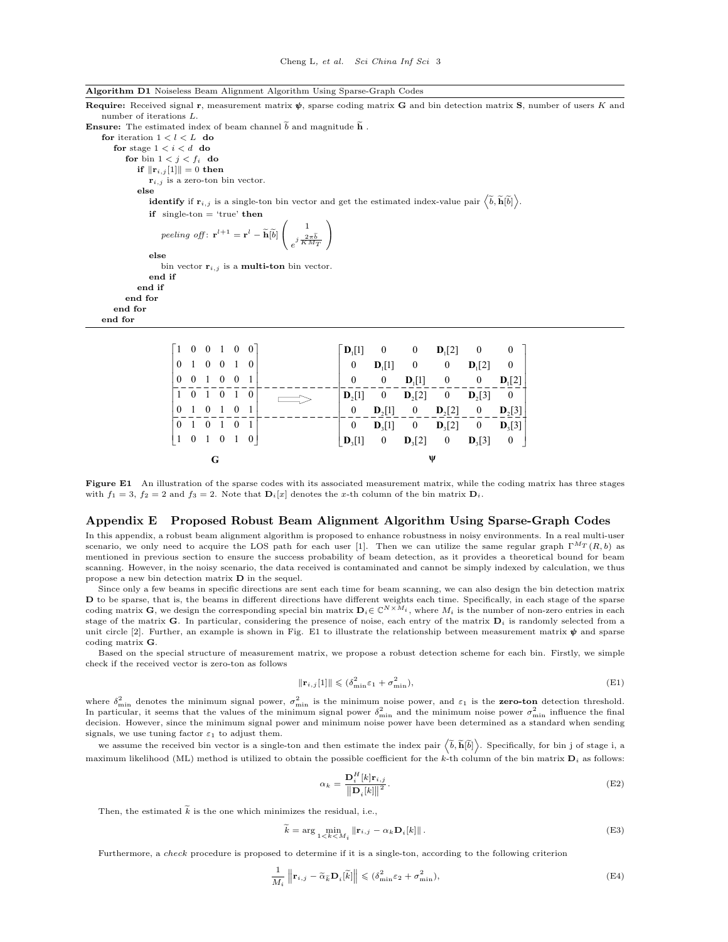| Algorithm D1 Noiseless Beam Alignment Algorithm Using Sparse-Graph Code |  |  |  |  |  |  |  |
|-------------------------------------------------------------------------|--|--|--|--|--|--|--|
|-------------------------------------------------------------------------|--|--|--|--|--|--|--|

Algorithm D1 Noiseless Beam Alignment Algorithm Using Sparse-Graph Codes Require: Received signal r, measurement matrix  $\psi$ , sparse coding matrix G and bin detection matrix S, number of users K and number of iterations L. **Ensure:** The estimated index of beam channel  $\tilde{b}$  and magnitude  $\tilde{h}$ . for iteration  $1 < l < L$  do for stage  $1 < i < d$  do for bin  $1 < j < f_i$  do if  $\|\mathbf{r}_{i,j}[1]\| = 0$  then  $\mathbf{r}_{i,j}$  is a zero-ton bin vector. else identify if  $\mathbf{r}_{i,j}$  is a single-ton bin vector and get the estimated index-value pair  $\left\langle \widetilde{b}, \widetilde{\mathbf{h}}[\widetilde{b}]\right\rangle$ . if single-ton  $=$  'true' then peeling off:  $\mathbf{r}^{l+1} = \mathbf{r}^{l} - \widetilde{\mathbf{h}}[\widetilde{b}]$  $\mathbf{I}$ 1  $e^{j\frac{2\pi b}{KM_T}}$ N.  $\overline{1}$ else bin vector  $\mathbf{r}_{i,j}$  is a **multi-ton** bin vector. end if end if end for end for end for  $\begin{bmatrix} 1 & 0 & 0 & 1 & 0 & 0 \end{bmatrix}$  $\begin{vmatrix} 0 & 1 & 0 & 0 & 1 & 0 \end{vmatrix}$  $0$  0 1 101010 010101 010101 101010  $1^{11}$  0 0  $\nu_1$  $1^{11}$   $0$   $0$   $\nu_1$  $1^{11}$  0 0  $\nu_1$  $2\begin{bmatrix} 1 \end{bmatrix}$   $0$   $\boldsymbol{D}_2$  $\begin{bmatrix} 2 \end{bmatrix}$   $0$   $\boldsymbol{D}_2$ 2<sup>[1</sup>]  $\mathbf{U}_2$ <sup>[2</sup>]  $\mathbf{U}_2$  **0**  $**D**<sub>3</sub>[2]$  **0**  $**D**<sub>3</sub>$  $[0 \ 0 \ 0 \ 1]$   $[2] \ 0 \ 0$  $0$   $D_1[1]$  0 0  $D_1[2]$  0 0 0  $D_1[1]$  0 0  $D_1[2]$  $[0 \quad D_{2}[2] \quad 0]$ 0 **D**<sub>2</sub>[1] 0 **D**<sub>2</sub>[2] 0 **D**<sub>2</sub>[3] 0  ${\bf D}_3[1]$  0  ${\bf D}_3[2]$  0  ${\bf D}_3[3]$  $\mathbf{D}_{3}[1]$  0  $\mathbf{D}_{3}[2]$  0  $\mathbf{D}_{3}[3]$  0  $\begin{bmatrix} {\bf D}_l[1] & 0 & 0 & {\bf D}_l[2] & 0 & 0 \nonumber \\ 0 & {\bf D}_l[1] & 0 & 0 & {\bf D}_l[2] & 0 \nonumber \\ 0 & 0 & {\bf D}_l[1] & 0 & 0 & {\bf D}_l[2] & 0 \nonumber \\ {\bf D}_2[1] & 0 & {\bf D}_2[2] & 0 & {\bf D}_2[3] & 0 \nonumber \\ -\frac{0}{\bf D}_2[1] & -\frac{0}{\bf D}_2[2] & -\frac{\bf D}_2[2] & -\frac{0}{\bf D}_2[3] & -\frac{\bf D}_2[3] \nonumber \\$  $D, [1]$  $D \cup [1]$  ${\bf D}_1[1]$  0 0 **D**  $D<sub>2</sub>[1]$ **<sub>2</sub>[1] 0 <b>D**<sub>2</sub>[2] 0 **D** 

Figure E1 An illustration of the sparse codes with its associated measurement matrix, while the coding matrix has three stages with  $f_1 = 3$ ,  $f_2 = 2$  and  $f_3 = 2$ . Note that  $\mathbf{D}_i[x]$  denotes the x-th column of the bin matrix  $\mathbf{D}_i$ .

 $3^{11}$   $0$   $v_3^{12}$   $0$   $v_3$ 

#### Appendix E Proposed Robust Beam Alignment Algorithm Using Sparse-Graph Codes

**G ψ**

In this appendix, a robust beam alignment algorithm is proposed to enhance robustness in noisy environments. In a real multi-user scenario, we only need to acquire the LOS path for each user [\[1\]](#page-5-0). Then we can utilize the same regular graph  $\Gamma^{MT}(R, b)$  as mentioned in previous section to ensure the success probability of beam detection, as it provides a theoretical bound for beam scanning. However, in the noisy scenario, the data received is contaminated and cannot be simply indexed by calculation, we thus propose a new bin detection matrix D in the sequel.

Since only a few beams in specific directions are sent each time for beam scanning, we can also design the bin detection matrix **D** to be sparse, that is, the beams in different directions have different weights each time. Specifically, in each stage of the sparse coding matrix **G**, we design the corresponding special bin matrix  $\mathbf{D}_i \in \mathbb{C}^{N$ stage of the matrix G. In particular, considering the presence of noise, each entry of the matrix  $D_i$  is randomly selected from a unit circle [\[2\]](#page-5-1). Further, an example is shown in Fig. [E1](#page-2-0) to illustrate the relationship between measurement matrix  $\psi$  and sparse coding matrix G.

Based on the special structure of measurement matrix, we propose a robust detection scheme for each bin. Firstly, we simple check if the received vector is zero-ton as follows

<span id="page-2-1"></span>
$$
\|\mathbf{r}_{i,j}[1]\| \leqslant (\delta_{\min}^2 \varepsilon_1 + \sigma_{\min}^2),\tag{E1}
$$

where  $\delta_{\min}^2$  denotes the minimum signal power,  $\sigma_{\min}^2$  is the minimum noise power, and  $\varepsilon_1$  is the **zero-ton** detection threshold. In particular, it seems that the values of the minimum signal power  $\delta_{\min}^2$  and the minimum noise power  $\sigma_{\min}^2$  influence the final decision. However, since the minimum signal power and minimum noise power have been determined as a standard when sending signals, we use tuning factor  $\varepsilon_1$  to adjust them.

we assume the received bin vector is a single-ton and then estimate the index pair  $\left\langle \tilde{b}, \tilde{\mathbf{h}}[\tilde{b}] \right\rangle$ . Specifically, for bin j of stage i, a maximum likelihood (ML) method is utilized to obtain the possible coefficient for the k-th column of the bin matrix  $D_i$  as follows:

<span id="page-2-2"></span>
$$
\alpha_k = \frac{\mathbf{D}_i^H [k] \mathbf{r}_{i,j}}{\|\mathbf{D}_i[k]\|^2}.
$$
\n(E2)

Then, the estimated  $\widetilde{k}$  is the one which minimizes the residual, i.e.,

<span id="page-2-0"></span> $\left[\begin{matrix}1&0&1&0&1&0\end{matrix}\right]$ 

<span id="page-2-3"></span>
$$
\tilde{k} = \arg \min_{1 < k < M_i} \|\mathbf{r}_{i,j} - \alpha_k \mathbf{D}_i[k]\|.
$$
\n(E3)

Furthermore, a check procedure is proposed to determine if it is a single-ton, according to the following criterion

<span id="page-2-4"></span>
$$
\frac{1}{M_i} \left\| \mathbf{r}_{i,j} - \tilde{\alpha}_{\tilde{k}} \mathbf{D}_i[\tilde{k}] \right\| \leq (\delta_{\min}^2 \varepsilon_2 + \sigma_{\min}^2),\tag{E4}
$$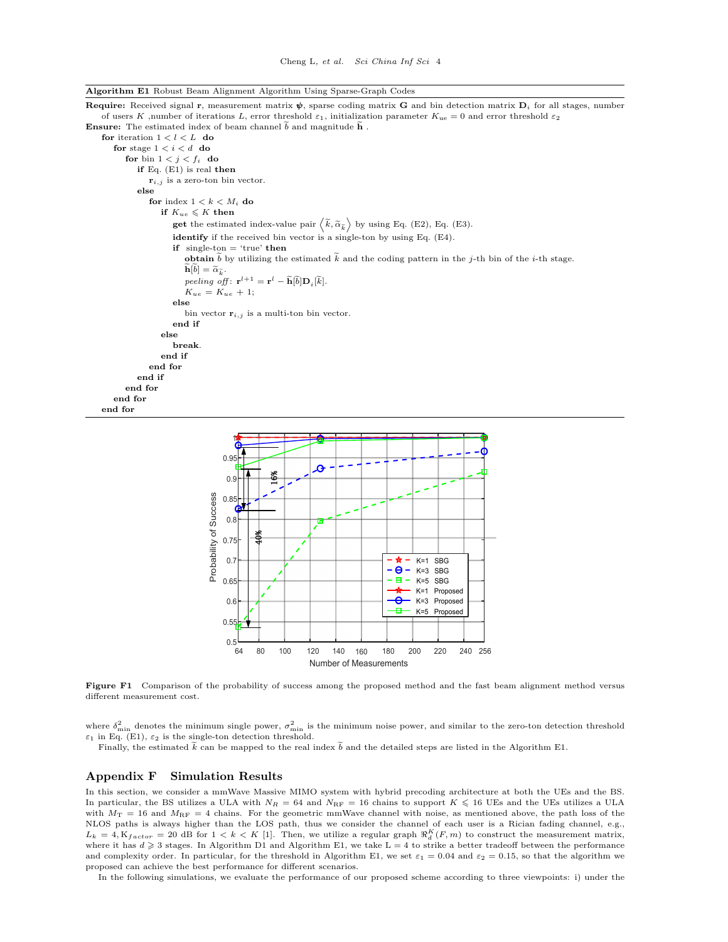Algorithm E1 Robust Beam Alignment Algorithm Using Sparse-Graph Codes

Require: Received signal r, measurement matrix  $\psi$ , sparse coding matrix G and bin detection matrix  $D_i$  for all stages, number of users K ,number of iterations L, error threshold  $\varepsilon_1$ , initialization parameter  $K_{\text{ue}} = 0$  and error threshold  $\varepsilon_2$ **Ensure:** The estimated index of beam channel  $\tilde{b}$  and magnitude  $\tilde{h}$ .

for iteration  $1 < l < L$  do for stage  $1 < i < d$  do for bin  $1 < j < f_i$  do if Eq. [\(E1\)](#page-2-1) is real then  $\mathbf{r}_{i,j}$  is a zero-ton bin vector. else for index  $1 < k < M_i$  do if  $K_{ue} \leqslant K$  then **get** the estimated index-value pair  $\langle \tilde{k}, \tilde{\alpha}_{\tilde{k}} \rangle$  by using Eq. [\(E2\)](#page-2-2), Eq. [\(E3\)](#page-2-3). identify if the received bin vector is a single-ton by using Eq. [\(E4\)](#page-2-4). if single-ton  $=$  'true' then **obtain**  $\tilde{b}$  by utilizing the estimated  $\tilde{k}$  and the coding pattern in the j-th bin of the *i*-th stage.  $\widetilde{\mathbf{h}}[\widetilde{b}] = \widetilde{\alpha}_{\widetilde{k}}.$  $\textit{peeling off}: \ \mathbf{r}^{l+1} = \mathbf{r}^{l} - \widetilde{\mathbf{h}}[\widetilde{b}]\mathbf{D}_i[\widetilde{k}].$  $K_{ue} = K_{ue} + 1;$ else bin vector  $\mathbf{r}_{i,j}$  is a multi-ton bin vector. end if else break. end if end for end if end for end for end for

<span id="page-3-0"></span>

Figure F1 Comparison of the probability of success among the proposed method and the fast beam alignment method versus different measurement cost.

where  $\delta_{\min}^2$  denotes the minimum single power,  $\sigma_{\min}^2$  is the minimum noise power, and similar to the zero-ton detection threshold  $\varepsilon_1$  in Eq. [\(E1\)](#page-2-1),  $\varepsilon_2$  is the single-ton detection threshold.

Finally, the estimated  $\tilde{k}$  can be mapped to the real index  $\tilde{b}$  and the detailed steps are listed in the Algorithm E1.

## Appendix F Simulation Results

In this section, we consider a mmWave Massive MIMO system with hybrid precoding architecture at both the UEs and the BS. In particular, the BS utilizes a ULA with  $N_R = 64$  and  $N_{\text{RF}} = 16$  chains to support  $K \leq 16$  UEs and the UEs utilizes a ULA with  $M_T = 16$  and  $M_{\text{RF}} = 4$  chains. For the geometric mmWave channel with noise, as mentioned above, the path loss of the NLOS paths is always higher than the LOS path, thus we consider the channel of each user is a Rician fading channel, e.g.,  $L_k = 4, K_{factor} = 20$  dB for  $1 < k < K$  [\[1\]](#page-5-0). Then, we utilize a regular graph  $\Re_d^K(F, m)$  to construct the measurement matrix, where it has  $d \geq 3$  stages. In Algorithm D1 and Algorithm E1, we take L = 4 to strike a better tradeoff between the performance and complexity order. In particular, for the threshold in Algorithm E1, we set  $\varepsilon_1 = 0.04$  and  $\varepsilon_2 = 0.15$ , so that the algorithm we proposed can achieve the best performance for different scenarios.

In the following simulations, we evaluate the performance of our proposed scheme according to three viewpoints: i) under the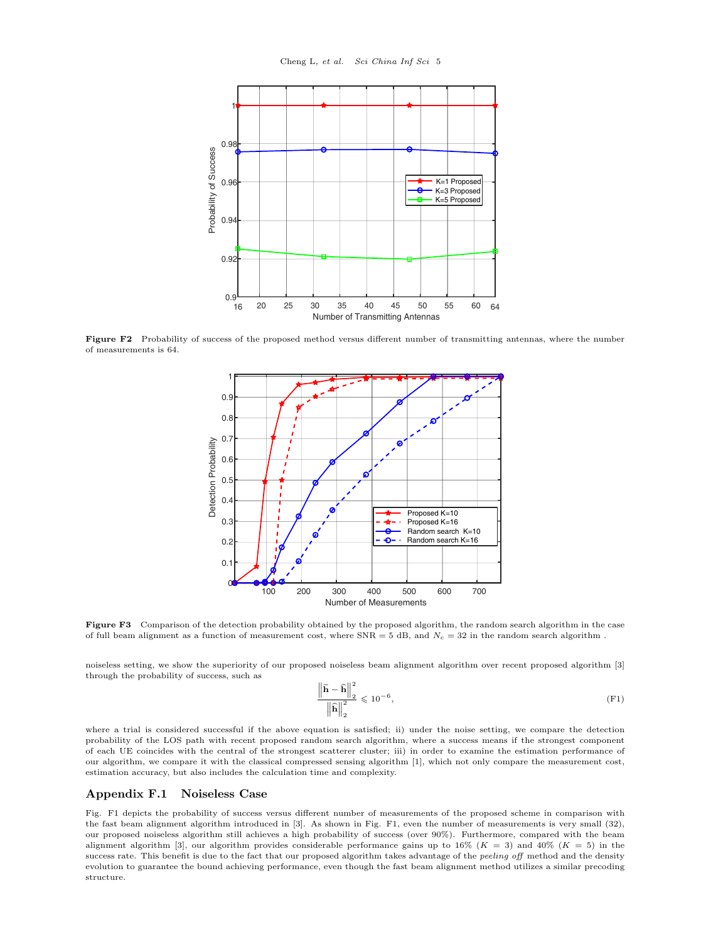<span id="page-4-0"></span>

<span id="page-4-1"></span>Figure F2 Probability of success of the proposed method versus different number of transmitting antennas, where the number of measurements is 64.



Figure F3 Comparison of the detection probability obtained by the proposed algorithm, the random search algorithm in the case of full beam alignment as a function of measurement cost, where  $SNR = 5$  dB, and  $N_c = 32$  in the random search algorithm.

noiseless setting, we show the superiority of our proposed noiseless beam alignment algorithm over recent proposed algorithm [\[3\]](#page-5-2) through the probability of success, such as

$$
\frac{\left\|\widetilde{\mathbf{h}} - \widehat{\mathbf{h}}\right\|_{2}^{2}}{\left\|\widehat{\mathbf{h}}\right\|_{2}^{2}} \leqslant 10^{-6},\tag{F1}
$$

where a trial is considered successful if the above equation is satisfied; ii) under the noise setting, we compare the detection probability of the LOS path with recent proposed random search algorithm, where a success means if the strongest component of each UE coincides with the central of the strongest scatterer cluster; iii) in order to examine the estimation performance of our algorithm, we compare it with the classical compressed sensing algorithm [\[1\]](#page-5-0), which not only compare the measurement cost, estimation accuracy, but also includes the calculation time and complexity.

### Appendix F.1 Noiseless Case

Fig. [F1](#page-3-0) depicts the probability of success versus different number of measurements of the proposed scheme in comparison with the fast beam alignment algorithm introduced in [\[3\]](#page-5-2). As shown in Fig. [F1,](#page-3-0) even the number of measurements is very small (32), our proposed noiseless algorithm still achieves a high probability of success (over 90%). Furthermore, compared with the beam alignment algorithm [\[3\]](#page-5-2), our algorithm provides considerable performance gains up to 16% ( $K = 3$ ) and 40% ( $K = 5$ ) in the success rate. This benefit is due to the fact that our proposed algorithm takes advantage of the peeling off method and the density evolution to guarantee the bound achieving performance, even though the fast beam alignment method utilizes a similar precoding structure.